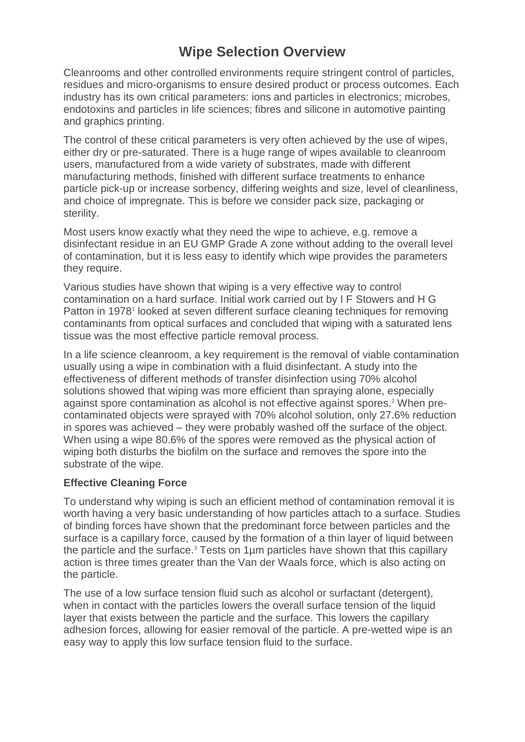# **Wipe Selection Overview**

Cleanrooms and other controlled environments require stringent control of particles, residues and micro-organisms to ensure desired product or process outcomes. Each industry has its own critical parameters: ions and particles in electronics; microbes, endotoxins and particles in life sciences; fibres and silicone in automotive painting and graphics printing.

The control of these critical parameters is very often achieved by the use of wipes, either dry or pre-saturated. There is a huge range of wipes available to cleanroom users, manufactured from a wide variety of substrates, made with different manufacturing methods, finished with different surface treatments to enhance particle pick-up or increase sorbency, differing weights and size, level of cleanliness, and choice of impregnate. This is before we consider pack size, packaging or sterility.

Most users know exactly what they need the wipe to achieve, e.g. remove a disinfectant residue in an EU GMP Grade A zone without adding to the overall level of contamination, but it is less easy to identify which wipe provides the parameters they require.

Various studies have shown that wiping is a very effective way to control contamination on a hard surface. Initial work carried out by I F Stowers and H G Patton in 1978<sup>1</sup> looked at seven different surface cleaning techniques for removing contaminants from optical surfaces and concluded that wiping with a saturated lens tissue was the most effective particle removal process.

In a life science cleanroom, a key requirement is the removal of viable contamination usually using a wipe in combination with a fluid disinfectant. A study into the effectiveness of different methods of transfer disinfection using 70% alcohol solutions showed that wiping was more efficient than spraying alone, especially against spore contamination as alcohol is not effective against spores.<sup>2</sup> When precontaminated objects were sprayed with 70% alcohol solution, only 27.6% reduction in spores was achieved – they were probably washed off the surface of the object. When using a wipe 80.6% of the spores were removed as the physical action of wiping both disturbs the biofilm on the surface and removes the spore into the substrate of the wipe.

## **Effective Cleaning Force**

To understand why wiping is such an efficient method of contamination removal it is worth having a very basic understanding of how particles attach to a surface. Studies of binding forces have shown that the predominant force between particles and the surface is a capillary force, caused by the formation of a thin layer of liquid between the particle and the surface.<sup>3</sup> Tests on 1µm particles have shown that this capillary action is three times greater than the Van der Waals force, which is also acting on the particle.

The use of a low surface tension fluid such as alcohol or surfactant (detergent), when in contact with the particles lowers the overall surface tension of the liquid layer that exists between the particle and the surface. This lowers the capillary adhesion forces, allowing for easier removal of the particle. A pre-wetted wipe is an easy way to apply this low surface tension fluid to the surface.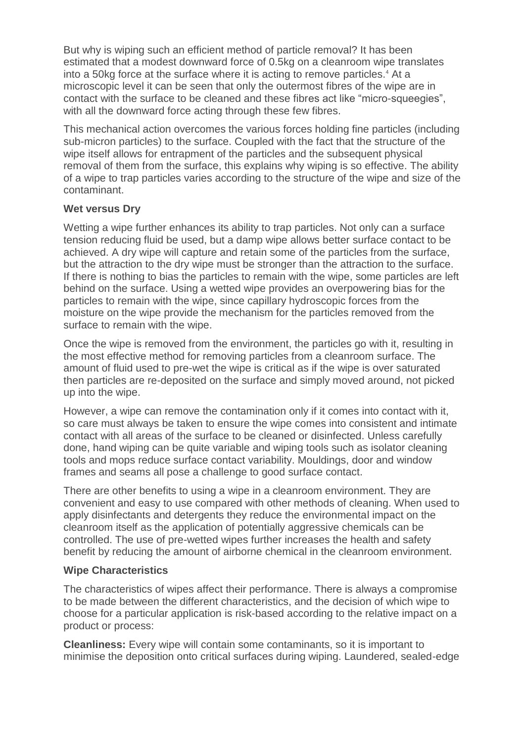But why is wiping such an efficient method of particle removal? It has been estimated that a modest downward force of 0.5kg on a cleanroom wipe translates into a 50kg force at the surface where it is acting to remove particles.<sup>4</sup> At a microscopic level it can be seen that only the outermost fibres of the wipe are in contact with the surface to be cleaned and these fibres act like "micro-squeegies", with all the downward force acting through these few fibres.

This mechanical action overcomes the various forces holding fine particles (including sub-micron particles) to the surface. Coupled with the fact that the structure of the wipe itself allows for entrapment of the particles and the subsequent physical removal of them from the surface, this explains why wiping is so effective. The ability of a wipe to trap particles varies according to the structure of the wipe and size of the contaminant.

#### **Wet versus Dry**

Wetting a wipe further enhances its ability to trap particles. Not only can a surface tension reducing fluid be used, but a damp wipe allows better surface contact to be achieved. A dry wipe will capture and retain some of the particles from the surface, but the attraction to the dry wipe must be stronger than the attraction to the surface. If there is nothing to bias the particles to remain with the wipe, some particles are left behind on the surface. Using a wetted wipe provides an overpowering bias for the particles to remain with the wipe, since capillary hydroscopic forces from the moisture on the wipe provide the mechanism for the particles removed from the surface to remain with the wipe.

Once the wipe is removed from the environment, the particles go with it, resulting in the most effective method for removing particles from a cleanroom surface. The amount of fluid used to pre-wet the wipe is critical as if the wipe is over saturated then particles are re-deposited on the surface and simply moved around, not picked up into the wipe.

However, a wipe can remove the contamination only if it comes into contact with it, so care must always be taken to ensure the wipe comes into consistent and intimate contact with all areas of the surface to be cleaned or disinfected. Unless carefully done, hand wiping can be quite variable and wiping tools such as isolator cleaning tools and mops reduce surface contact variability. Mouldings, door and window frames and seams all pose a challenge to good surface contact.

There are other benefits to using a wipe in a cleanroom environment. They are convenient and easy to use compared with other methods of cleaning. When used to apply disinfectants and detergents they reduce the environmental impact on the cleanroom itself as the application of potentially aggressive chemicals can be controlled. The use of pre-wetted wipes further increases the health and safety benefit by reducing the amount of airborne chemical in the cleanroom environment.

## **Wipe Characteristics**

The characteristics of wipes affect their performance. There is always a compromise to be made between the different characteristics, and the decision of which wipe to choose for a particular application is risk-based according to the relative impact on a product or process:

**Cleanliness:** Every wipe will contain some contaminants, so it is important to minimise the deposition onto critical surfaces during wiping. Laundered, sealed-edge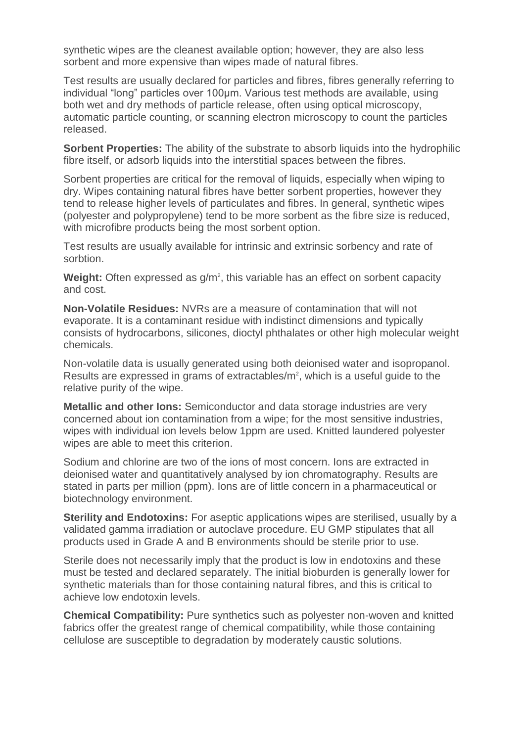synthetic wipes are the cleanest available option; however, they are also less sorbent and more expensive than wipes made of natural fibres.

Test results are usually declared for particles and fibres, fibres generally referring to individual "long" particles over 100µm. Various test methods are available, using both wet and dry methods of particle release, often using optical microscopy, automatic particle counting, or scanning electron microscopy to count the particles released.

**Sorbent Properties:** The ability of the substrate to absorb liquids into the hydrophilic fibre itself, or adsorb liquids into the interstitial spaces between the fibres.

Sorbent properties are critical for the removal of liquids, especially when wiping to dry. Wipes containing natural fibres have better sorbent properties, however they tend to release higher levels of particulates and fibres. In general, synthetic wipes (polyester and polypropylene) tend to be more sorbent as the fibre size is reduced, with microfibre products being the most sorbent option.

Test results are usually available for intrinsic and extrinsic sorbency and rate of sorbtion.

Weight: Often expressed as g/m<sup>2</sup>, this variable has an effect on sorbent capacity and cost.

**Non-Volatile Residues:** NVRs are a measure of contamination that will not evaporate. It is a contaminant residue with indistinct dimensions and typically consists of hydrocarbons, silicones, dioctyl phthalates or other high molecular weight chemicals.

Non-volatile data is usually generated using both deionised water and isopropanol. Results are expressed in grams of extractables/ $m<sup>2</sup>$ , which is a useful guide to the relative purity of the wipe.

**Metallic and other Ions:** Semiconductor and data storage industries are very concerned about ion contamination from a wipe; for the most sensitive industries, wipes with individual ion levels below 1ppm are used. Knitted laundered polyester wipes are able to meet this criterion.

Sodium and chlorine are two of the ions of most concern. Ions are extracted in deionised water and quantitatively analysed by ion chromatography. Results are stated in parts per million (ppm). Ions are of little concern in a pharmaceutical or biotechnology environment.

**Sterility and Endotoxins:** For aseptic applications wipes are sterilised, usually by a validated gamma irradiation or autoclave procedure. EU GMP stipulates that all products used in Grade A and B environments should be sterile prior to use.

Sterile does not necessarily imply that the product is low in endotoxins and these must be tested and declared separately. The initial bioburden is generally lower for synthetic materials than for those containing natural fibres, and this is critical to achieve low endotoxin levels.

**Chemical Compatibility:** Pure synthetics such as polyester non-woven and knitted fabrics offer the greatest range of chemical compatibility, while those containing cellulose are susceptible to degradation by moderately caustic solutions.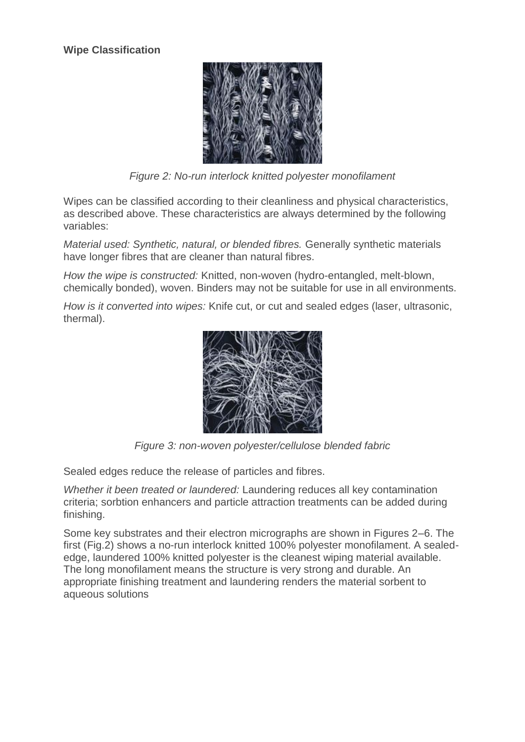

*Figure 2: No-run interlock knitted polyester monofilament*

Wipes can be classified according to their cleanliness and physical characteristics, as described above. These characteristics are always determined by the following variables:

*Material used: Synthetic, natural, or blended fibres.* Generally synthetic materials have longer fibres that are cleaner than natural fibres.

*How the wipe is constructed:* Knitted, non-woven (hydro-entangled, melt-blown, chemically bonded), woven. Binders may not be suitable for use in all environments.

*How is it converted into wipes:* Knife cut, or cut and sealed edges (laser, ultrasonic, thermal).



*Figure 3: non-woven polyester/cellulose blended fabric*

Sealed edges reduce the release of particles and fibres.

*Whether it been treated or laundered:* Laundering reduces all key contamination criteria; sorbtion enhancers and particle attraction treatments can be added during finishing.

Some key substrates and their electron micrographs are shown in Figures 2–6. The first (Fig.2) shows a no-run interlock knitted 100% polyester monofilament. A sealededge, laundered 100% knitted polyester is the cleanest wiping material available. The long monofilament means the structure is very strong and durable. An appropriate finishing treatment and laundering renders the material sorbent to aqueous solutions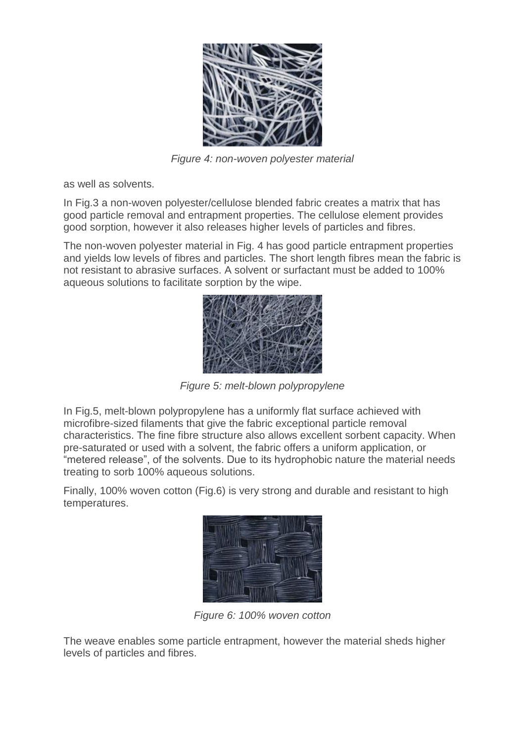

*Figure 4: non-woven polyester material*

as well as solvents.

In Fig.3 a non-woven polyester/cellulose blended fabric creates a matrix that has good particle removal and entrapment properties. The cellulose element provides good sorption, however it also releases higher levels of particles and fibres.

The non-woven polyester material in Fig. 4 has good particle entrapment properties and yields low levels of fibres and particles. The short length fibres mean the fabric is not resistant to abrasive surfaces. A solvent or surfactant must be added to 100% aqueous solutions to facilitate sorption by the wipe.



*Figure 5: melt-blown polypropylene*

In Fig.5, melt-blown polypropylene has a uniformly flat surface achieved with microfibre-sized filaments that give the fabric exceptional particle removal characteristics. The fine fibre structure also allows excellent sorbent capacity. When pre-saturated or used with a solvent, the fabric offers a uniform application, or "metered release", of the solvents. Due to its hydrophobic nature the material needs treating to sorb 100% aqueous solutions.

Finally, 100% woven cotton (Fig.6) is very strong and durable and resistant to high temperatures.



*Figure 6: 100% woven cotton*

The weave enables some particle entrapment, however the material sheds higher levels of particles and fibres.